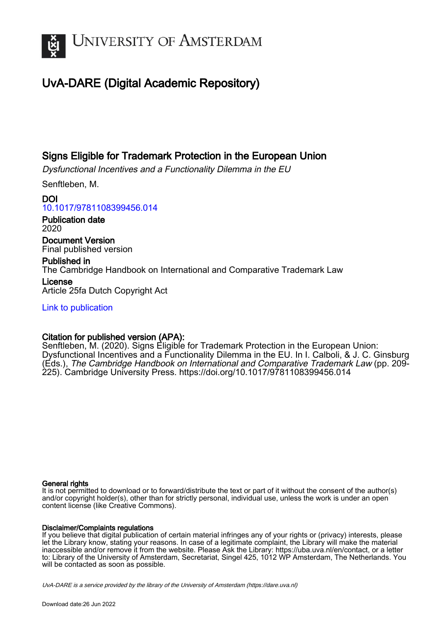

# UvA-DARE (Digital Academic Repository)

# Signs Eligible for Trademark Protection in the European Union

Dysfunctional Incentives and a Functionality Dilemma in the EU

Senftleben, M.

DOI [10.1017/9781108399456.014](https://doi.org/10.1017/9781108399456.014)

Publication date 2020

Document Version Final published version

Published in The Cambridge Handbook on International and Comparative Trademark Law License Article 25fa Dutch Copyright Act

[Link to publication](https://dare.uva.nl/personal/pure/en/publications/signs-eligible-for-trademark-protection-in-the-european-union(2634b436-e59b-4920-b056-b95dd069a14c).html)

# Citation for published version (APA):

Senftleben, M. (2020). Signs Eligible for Trademark Protection in the European Union: Dysfunctional Incentives and a Functionality Dilemma in the EU. In I. Calboli, & J. C. Ginsburg (Eds.), The Cambridge Handbook on International and Comparative Trademark Law (pp. 209- 225). Cambridge University Press. <https://doi.org/10.1017/9781108399456.014>

# General rights

It is not permitted to download or to forward/distribute the text or part of it without the consent of the author(s) and/or copyright holder(s), other than for strictly personal, individual use, unless the work is under an open content license (like Creative Commons).

# Disclaimer/Complaints regulations

If you believe that digital publication of certain material infringes any of your rights or (privacy) interests, please let the Library know, stating your reasons. In case of a legitimate complaint, the Library will make the material inaccessible and/or remove it from the website. Please Ask the Library: https://uba.uva.nl/en/contact, or a letter to: Library of the University of Amsterdam, Secretariat, Singel 425, 1012 WP Amsterdam, The Netherlands. You will be contacted as soon as possible.

UvA-DARE is a service provided by the library of the University of Amsterdam (http*s*://dare.uva.nl)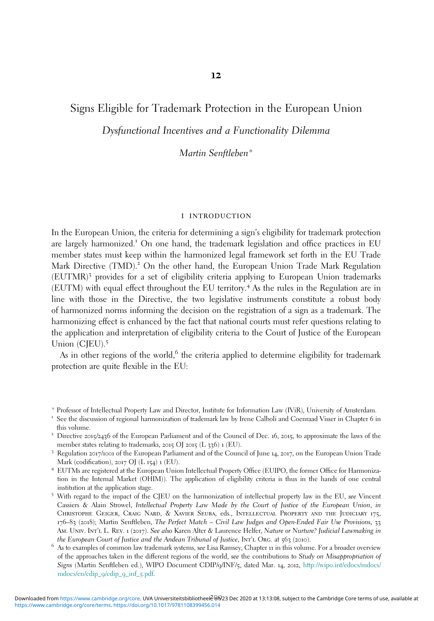**12**

# Signs Eligible for Trademark Protection in the European Union

# Dysfunctional Incentives and a Functionality Dilemma

Martin Senftleben\*

#### i introduction

In the European Union, the criteria for determining a sign's eligibility for trademark protection are largely harmonized.<sup>1</sup> On one hand, the trademark legislation and office practices in EU member states must keep within the harmonized legal framework set forth in the EU Trade Mark Directive (TMD).<sup>2</sup> On the other hand, the European Union Trade Mark Regulation  $(EUTMR)^3$  provides for a set of eligibility criteria applying to European Union trademarks (EUTM) with equal effect throughout the EU territory.<sup>4</sup> As the rules in the Regulation are in line with those in the Directive, the two legislative instruments constitute a robust body of harmonized norms informing the decision on the registration of a sign as a trademark. The harmonizing effect is enhanced by the fact that national courts must refer questions relating to the application and interpretation of eligibility criteria to the Court of Justice of the European Union (CJEU).<sup>5</sup>

As in other regions of the world, $6$  the criteria applied to determine eligibility for trademark protection are quite flexible in the EU:

<sup>\*</sup> Professor of Intellectual Property Law and Director, Institute for Information Law (IViR), University of Amsterdam.

<sup>1</sup> See the discussion of regional harmonization of trademark law by Irene Calboli and Coenraad Visser in Chapter <sup>6</sup> in this volume.

<sup>2</sup> Directive <sup>2015</sup>/<sup>2436</sup> of the European Parliament and of the Council of Dec. <sup>16</sup>, <sup>2015</sup>, to approximate the laws of the member states relating to trademarks, 2015 OJ 2015 (L 336) 1 (EU).<br><sup>3</sup> Regulation 2017/1001 of the European Parliament and of the Council of June 14, 2017, on the European Union Trade

Mark (codification), <sup>2017</sup> OJ (L <sup>154</sup>) <sup>1</sup> (EU). <sup>4</sup> EUTMs are registered at the European Union Intellectual Property Office (EUIPO, the former Office for Harmoniza-

tion in the Internal Market (OHIM)). The application of eligibility criteria is thus in the hands of one central

<sup>&</sup>lt;sup>5</sup> With regard to the impact of the CJEU on the harmonization of intellectual property law in the EU, see Vincent Cassiers & Alain Strowel, Intellectual Property Law Made by the Court of Justice of the European Union, in Christophe Geiger, Craig Nard, & Xavier Seuba, eds., Intellectual Property and the Judiciary 175, 176–83 (2018); Martin Senftleben, The Perfect Match – Civil Law Judges and Open-Ended Fair Use Provisions, 33 Am. UNIV. INT'L L. REV. 1 (2017). See also Karen Alter & Laurence Helfer, Nature or Nurture? Judicial Lawmaking in the European Court of Justice and the Andean Tribunal of Justice, Int'l Org. at 563 (2010).<br><sup>6</sup> As to examples of common law trademark systems, see Lisa Ramsey, Chapter 11 in this volume. For a broader overview

of the approaches taken in the different regions of the world, see the contributions to Study on Misappropriation of Signs (Martin Senftleben ed.), WIPO Document CDIP/9/INF/5, dated Mar. 14, 2012, [http://wipo.int/edocs/mdocs/](http://www.wipo.int/edocs/mdocs/mdocs/en/cdip_9/cdip_9_inf_5.pdf) [mdocs/en/cdip\\_](http://www.wipo.int/edocs/mdocs/mdocs/en/cdip_9/cdip_9_inf_5.pdf)9/cdip\_9\_inf\_5.pdf.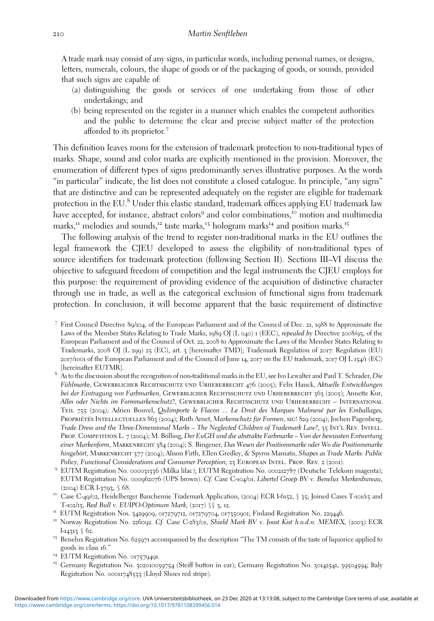A trade mark may consist of any signs, in particular words, including personal names, or designs, letters, numerals, colours, the shape of goods or of the packaging of goods, or sounds, provided that such signs are capable of:

- (a) distinguishing the goods or services of one undertaking from those of other undertakings; and
- (b) being represented on the register in a manner which enables the competent authorities and the public to determine the clear and precise subject matter of the protection afforded to its proprietor.<sup>7</sup>

This definition leaves room for the extension of trademark protection to non-traditional types of marks. Shape, sound and color marks are explicitly mentioned in the provision. Moreover, the enumeration of different types of signs predominantly serves illustrative purposes. As the words "in particular" indicate, the list does not constitute a closed catalogue. In principle, "any signs" that are distinctive and can be represented adequately on the register are eligible for trademark protection in the EU.<sup>8</sup> Under this elastic standard, trademark offices applying EU trademark law have accepted, for instance, abstract colors<sup>9</sup> and color combinations,<sup>10</sup> motion and multimedia marks,<sup>11</sup> melodies and sounds,<sup>12</sup> taste marks,<sup>13</sup> hologram marks<sup>14</sup> and position marks.<sup>15</sup>

The following analysis of the trend to register non-traditional marks in the EU outlines the legal framework the CJEU developed to assess the eligibility of non-traditional types of source identifiers for trademark protection (following Section II). Sections III–VI discuss the objective to safeguard freedom of competition and the legal instruments the CJEU employs for this purpose: the requirement of providing evidence of the acquisition of distinctive character through use in trade, as well as the categorical exclusion of functional signs from trademark protection. In conclusion, it will become apparent that the basic requirement of distinctive

- [hereinafter EUTMR]. <sup>8</sup> As to the discussion about the recognition of non-traditional marks in the EU, see Ivo Lewalter and Paul T. Schrader, Die Fühlmarke, GEWERBLICHER RECHTSSCHUTZ UND URHEBERRECHT 476 (2005); Felix Hauck, Aktuelle Entwicklungen bei der Eintragung von Farbmarken, GEWERBLICHER RECHTSSCHUTZ UND URHEBERRECHT 363 (2005); Annette Kur, Alles oder Nichts im Formmarkenschutz?, GEWERBLICHER RECHTSSCHUTZ UND URHEBERRECHT - INTERNATIONAL TEIL 755 (2004); Adrien Bouvel, QuIimporte le Flacon ... Le Droit des Marques Malmené par les Emballages, PROPRIÉTÉS INTELLECTUELLES 863 (2004); Ruth Arnet, Markenschutz für Formen, sic! 829 (2004); Jochen Pagenberg, Trade Dress and the Three-Dimensional Marks – The Neglected Children of Trademark Law?, 35 Int'l Rev. Intell. PROP. COMPETITION L. 7 (2004); M. Bölling, Der EuGH und die abstrakte Farbmarke – Von der bewussten Entwertung einer Markenform, MARKENRECHT 384 (2004); S. Bingener, Das Wesen der Positionsmarke oder Wo die Positionsmarke hingehört, MARKENRECHT 377 (2004); Alison Firth, Ellen Gredley, & Spyros Maniatis, Shapes as Trade Marks: Public<br>Policy, Functional Considerations and Consumer Perception, 23 EUROPEAN INTEL. PROP. REV. 2 (2001).
- <sup>9</sup> EUTM Registration No. 000031336 (Milka lilac); EUTM Registration No. 000212787 (Deutsche Telekom magenta); EUTM Registration No. 000962076 (UPS brown). Cf. Case C-104/01, Libertel Groep BV v. Benelux Merkenbureau, (2004) ECR I-3793, § 68.
- <sup>10</sup> Case C-49/02, Heidelberger Bauchemie Trademark Application, (2004) ECR I-6152, § 35; Joined Cases T-101/15 and T-102/15, Red Bull v. EUIPO-Optimum Mark, (2017) § § 3, 12.<br><sup>11</sup> EUTM Registration Nos. 3429909, 017279712, 017279704, 017350901; Finland Registration No. 229446.<br><sup>12</sup> Norway Registration No. 226092. Cf. Case C-283/01, Shi
- 
- 
- I-<sup>14313</sup> § <sup>62</sup>. <sup>13</sup> Benelux Registration No. <sup>625971</sup> accompanied by the description "The TM consists of the taste of liquorice applied to
- 
- <sup>14</sup> EUTM Registration No. 017579491.<br><sup>15</sup> Germany Registration No. 302010059754 (Steiff button in ear); Germany Registration No. 30142541, 39504594; Italy Registration No. 00011748533 (Lloyd Shoes red stripe).

<sup>7</sup> First Council Directive <sup>89</sup>/104, of the European Parliament and of the Council of Dec. <sup>21</sup>, <sup>1988</sup> to Approximate the Laws of the Member States Relating to Trade Marks, 1989 OJ (L 040) 1 (EEC), repealed by Directive 2008/95, of the European Parliament and of the Council of Oct. 22, 2008 to Approximate the Laws of the Member States Relating to Trademarks, 2008 OJ (L 299) 25 (EC), art. 3 [hereinafter TMD]; Trademark Regulation of 2017: Regulation (EU) 2017/1001 of the European Parliament and of the Council of June 14, 2017 on the EU trademark, 2017 OJ L 154/1 (EC)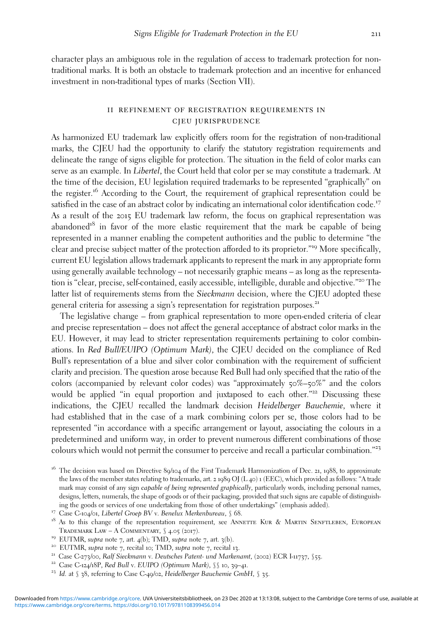character plays an ambiguous role in the regulation of access to trademark protection for nontraditional marks. It is both an obstacle to trademark protection and an incentive for enhanced investment in non-traditional types of marks (Section VII).

## ii refinement of registration requirements in cjeu jurisprudence

As harmonized EU trademark law explicitly offers room for the registration of non-traditional marks, the CJEU had the opportunity to clarify the statutory registration requirements and delineate the range of signs eligible for protection. The situation in the field of color marks can serve as an example. In Libertel, the Court held that color per se may constitute a trademark. At the time of the decision, EU legislation required trademarks to be represented "graphically" on the register.<sup>16</sup> According to the Court, the requirement of graphical representation could be satisfied in the case of an abstract color by indicating an international color identification code.<sup>17</sup> As a result of the 2015 EU trademark law reform, the focus on graphical representation was abandoned $1^8$  in favor of the more elastic requirement that the mark be capable of being represented in a manner enabling the competent authorities and the public to determine "the clear and precise subject matter of the protection afforded to its proprietor." <sup>19</sup> More specifically, current EU legislation allows trademark applicants to represent the mark in any appropriate form using generally available technology – not necessarily graphic means – as long as the representation is "clear, precise, self-contained, easily accessible, intelligible, durable and objective." <sup>20</sup> The latter list of requirements stems from the Sieckmann decision, where the CJEU adopted these general criteria for assessing a sign's representation for registration purposes.<sup>21</sup>

The legislative change – from graphical representation to more open-ended criteria of clear and precise representation – does not affect the general acceptance of abstract color marks in the EU. However, it may lead to stricter representation requirements pertaining to color combinations. In Red Bull/EUIPO (Optimum Mark), the CJEU decided on the compliance of Red Bull's representation of a blue and silver color combination with the requirement of sufficient clarity and precision. The question arose because Red Bull had only specified that the ratio of the colors (accompanied by relevant color codes) was "approximately 50%–50%" and the colors would be applied "in equal proportion and juxtaposed to each other." <sup>22</sup> Discussing these indications, the CJEU recalled the landmark decision Heidelberger Bauchemie, where it had established that in the case of a mark combining colors per se, those colors had to be represented "in accordance with a specific arrangement or layout, associating the colours in a predetermined and uniform way, in order to prevent numerous different combinations of those colours which would not permit the consumer to perceive and recall a particular combination." 23

- 
- 
- 
- 

<sup>&</sup>lt;sup>16</sup> The decision was based on Directive 89/104 of the First Trademark Harmonization of Dec. 21, 1988, to approximate the laws of the member states relating to trademarks, art. 2 1989 OJ (L 40) 1 (EEC), which provided as follows: "A trade mark may consist of any sign capable of being represented graphically, particularly words, including personal names, designs, letters, numerals, the shape of goods or of their packaging, provided that such signs are capable of distinguishing the goods or services of one undertaking from those of other undertakings" (emphasis added).<br><sup>17</sup> Case C-104/01, *Libertel Groep BV v. Benelux Merkenbureau*, § 68.<br><sup>18</sup> As to this change of the representation requirem

TRADEMARK LAW – A COMMENTARY,  $\S$  4.05 (2017).<br><sup>19</sup> EUTMR, *supra* note 7, art. 4(b); TMD, *supra* note 7, art. 3(b).<br><sup>20</sup> EUTMR, *supra* note 7, recital 10; TMD, *supra* note 7, recital 13.<br><sup>21</sup> Case C-273/00, Ralf Sieck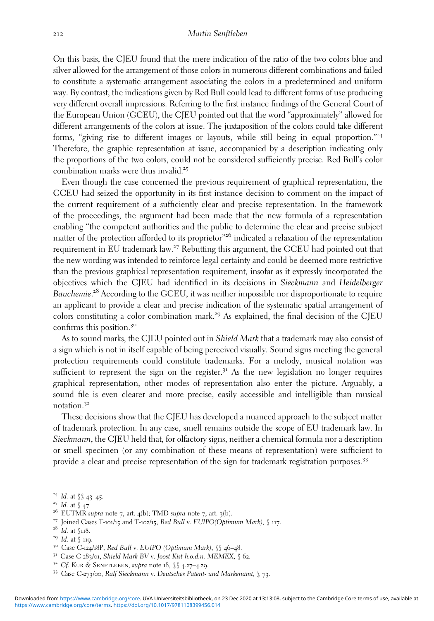On this basis, the CJEU found that the mere indication of the ratio of the two colors blue and silver allowed for the arrangement of those colors in numerous different combinations and failed to constitute a systematic arrangement associating the colors in a predetermined and uniform way. By contrast, the indications given by Red Bull could lead to different forms of use producing very different overall impressions. Referring to the first instance findings of the General Court of the European Union (GCEU), the CJEU pointed out that the word "approximately" allowed for different arrangements of the colors at issue. The juxtaposition of the colors could take different forms, "giving rise to different images or layouts, while still being in equal proportion." 24 Therefore, the graphic representation at issue, accompanied by a description indicating only the proportions of the two colors, could not be considered sufficiently precise. Red Bull's color combination marks were thus invalid.<sup>25</sup>

Even though the case concerned the previous requirement of graphical representation, the GCEU had seized the opportunity in its first instance decision to comment on the impact of the current requirement of a sufficiently clear and precise representation. In the framework of the proceedings, the argument had been made that the new formula of a representation enabling "the competent authorities and the public to determine the clear and precise subject matter of the protection afforded to its proprietor" <sup>26</sup> indicated a relaxation of the representation requirement in EU trademark law.<sup>27</sup> Rebutting this argument, the GCEU had pointed out that the new wording was intended to reinforce legal certainty and could be deemed more restrictive than the previous graphical representation requirement, insofar as it expressly incorporated the objectives which the CJEU had identified in its decisions in Sieckmann and Heidelberger Bauchemie.<sup>28</sup> According to the GCEU, it was neither impossible nor disproportionate to require an applicant to provide a clear and precise indication of the systematic spatial arrangement of colors constituting a color combination mark.<sup>29</sup> As explained, the final decision of the CJEU confirms this position.<sup>30</sup>

As to sound marks, the CJEU pointed out in Shield Mark that a trademark may also consist of a sign which is not in itself capable of being perceived visually. Sound signs meeting the general protection requirements could constitute trademarks. For a melody, musical notation was sufficient to represent the sign on the register. $3<sup>1</sup>$  As the new legislation no longer requires graphical representation, other modes of representation also enter the picture. Arguably, a sound file is even clearer and more precise, easily accessible and intelligible than musical notation.<sup>32</sup>

These decisions show that the CJEU has developed a nuanced approach to the subject matter of trademark protection. In any case, smell remains outside the scope of EU trademark law. In Sieckmann, the CJEU held that, for olfactory signs, neither a chemical formula nor a description or smell specimen (or any combination of these means of representation) were sufficient to provide a clear and precise representation of the sign for trademark registration purposes.<sup>33</sup>

- <sup>24</sup> Id. at §§ 43–45.<br><sup>25</sup> Id. at § 47.<br><sup>26</sup> EUTMR supra note 7, art. 4(b); TMD supra note 7, art. 3(b).<br><sup>27</sup> Joined Cases T-101/15 and T-102/15, Red Bull v. EUIPO(Optimum Mark), § 117.<br><sup>28</sup> Id. at § 119.<br><sup>29</sup> Id. at § 119
- 
- 
- 
- 
-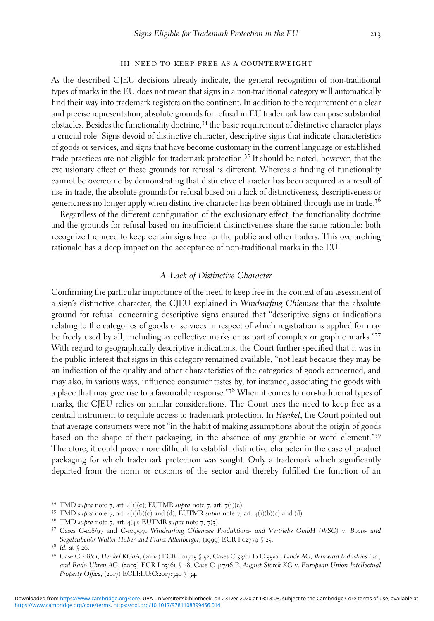### iii need to keep free as a counterweight

As the described CJEU decisions already indicate, the general recognition of non-traditional types of marks in the EU does not mean that signs in a non-traditional category will automatically find their way into trademark registers on the continent. In addition to the requirement of a clear and precise representation, absolute grounds for refusal in EU trademark law can pose substantial obstacles. Besides the functionality doctrine,<sup>34</sup> the basic requirement of distinctive character plays a crucial role. Signs devoid of distinctive character, descriptive signs that indicate characteristics of goods or services, and signs that have become customary in the current language or established trade practices are not eligible for trademark protection.<sup>35</sup> It should be noted, however, that the exclusionary effect of these grounds for refusal is different. Whereas a finding of functionality cannot be overcome by demonstrating that distinctive character has been acquired as a result of use in trade, the absolute grounds for refusal based on a lack of distinctiveness, descriptiveness or genericness no longer apply when distinctive character has been obtained through use in trade.<sup>36</sup>

Regardless of the different configuration of the exclusionary effect, the functionality doctrine and the grounds for refusal based on insufficient distinctiveness share the same rationale: both recognize the need to keep certain signs free for the public and other traders. This overarching rationale has a deep impact on the acceptance of non-traditional marks in the EU.

## A Lack of Distinctive Character

Confirming the particular importance of the need to keep free in the context of an assessment of a sign's distinctive character, the CJEU explained in Windsurfing Chiemsee that the absolute ground for refusal concerning descriptive signs ensured that "descriptive signs or indications relating to the categories of goods or services in respect of which registration is applied for may be freely used by all, including as collective marks or as part of complex or graphic marks."<sup>37</sup> With regard to geographically descriptive indications, the Court further specified that it was in the public interest that signs in this category remained available, "not least because they may be an indication of the quality and other characteristics of the categories of goods concerned, and may also, in various ways, influence consumer tastes by, for instance, associating the goods with a place that may give rise to a favourable response."<sup>38</sup> When it comes to non-traditional types of marks, the CJEU relies on similar considerations. The Court uses the need to keep free as a central instrument to regulate access to trademark protection. In Henkel, the Court pointed out that average consumers were not "in the habit of making assumptions about the origin of goods based on the shape of their packaging, in the absence of any graphic or word element."<sup>39</sup> Therefore, it could prove more difficult to establish distinctive character in the case of product packaging for which trademark protection was sought. Only a trademark which significantly departed from the norm or customs of the sector and thereby fulfilled the function of an

<sup>&</sup>lt;sup>34</sup> TMD *supra* note 7, art. 4(1)(e); EUTMR *supra* note 7, art. 7(1)(e).<br><sup>35</sup> TMD *supra* note 7, art. 4(1)(b)(c) and (d); EUTMR *supra* note 7, art. 4(1)(b)(c) and (d).<br><sup>36</sup> TMD *supra* note 7, art. 4(4); EUTMR *supra* 

<sup>&</sup>lt;sup>37</sup> Cases C-108/97 and C-109/97, Windsurfing Chiemsee Produktions- und Vertriebs GmbH (WSC) v. Boots- und Segelzubehör Walter Huber and Franz Attenberger, (1999) ECR I-02779  $\$  25.<br><sup>38</sup> Id. at  $\$  26.<br><sup>39</sup> Case C-218/01, Henkel KGaA, (2004) ECR I-01725  $\$  52; Cases C-53/01 to C-55/01, Linde AG, Winward Industries Inc.,

and Rado Uhren AG, (2003) ECR I-03161 § 48; Case C-417/16 P, August Storck KG v. European Union Intellectual Property Office, (2017) ECLI:EU:C:2017:340 § 34.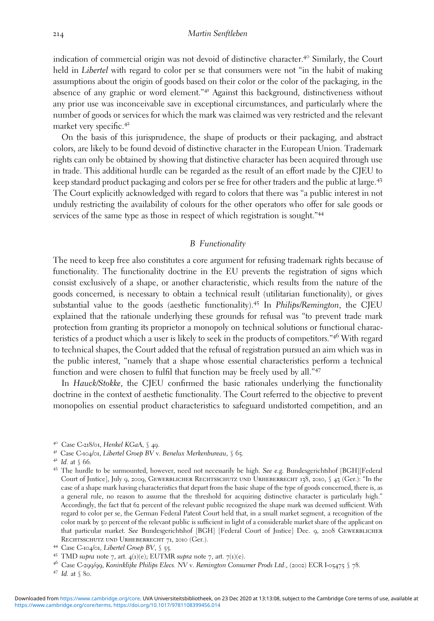indication of commercial origin was not devoid of distinctive character.<sup>40</sup> Similarly, the Court held in Libertel with regard to color per se that consumers were not "in the habit of making assumptions about the origin of goods based on their color or the color of the packaging, in the absence of any graphic or word element."<sup>41</sup> Against this background, distinctiveness without any prior use was inconceivable save in exceptional circumstances, and particularly where the number of goods or services for which the mark was claimed was very restricted and the relevant market very specific.<sup>42</sup>

On the basis of this jurisprudence, the shape of products or their packaging, and abstract colors, are likely to be found devoid of distinctive character in the European Union. Trademark rights can only be obtained by showing that distinctive character has been acquired through use in trade. This additional hurdle can be regarded as the result of an effort made by the CJEU to keep standard product packaging and colors per se free for other traders and the public at large.<sup>43</sup> The Court explicitly acknowledged with regard to colors that there was "a public interest in not unduly restricting the availability of colours for the other operators who offer for sale goods or services of the same type as those in respect of which registration is sought."<sup>44</sup>

#### B Functionality

The need to keep free also constitutes a core argument for refusing trademark rights because of functionality. The functionality doctrine in the EU prevents the registration of signs which consist exclusively of a shape, or another characteristic, which results from the nature of the goods concerned, is necessary to obtain a technical result (utilitarian functionality), or gives substantial value to the goods (aesthetic functionality).<sup>45</sup> In *Philips/Remington*, the CJEU explained that the rationale underlying these grounds for refusal was "to prevent trade mark protection from granting its proprietor a monopoly on technical solutions or functional characteristics of a product which a user is likely to seek in the products of competitors." <sup>46</sup> With regard to technical shapes, the Court added that the refusal of registration pursued an aim which was in the public interest, "namely that a shape whose essential characteristics perform a technical function and were chosen to fulfil that function may be freely used by all."<sup>47</sup>

In Hauck/Stokke, the CJEU confirmed the basic rationales underlying the functionality doctrine in the context of aesthetic functionality. The Court referred to the objective to prevent monopolies on essential product characteristics to safeguard undistorted competition, and an

<sup>&</sup>lt;sup>40</sup> Case C-218/01, Henkel KGaA, § 49.<br><sup>41</sup> Case C-104/01, Libertel Groep BV v. Benelux Merkenbureau, § 65.<br><sup>42</sup> Id. at § 66.<br><sup>43</sup> The hurdle to be surmounted, however, need not necessarily be high. See e.g. Bundesgerichts Court of Justice], July 9, 2009, GEWERBLICHER RECHTSSCHUTZ UND URHEBERRECHT 138, 2010, § 43 (Ger.): "In the case of a shape mark having characteristics that depart from the basic shape of the type of goods concerned, there is, as a general rule, no reason to assume that the threshold for acquiring distinctive character is particularly high." Accordingly, the fact that 62 percent of the relevant public recognized the shape mark was deemed sufficient. With regard to color per se, the German Federal Patent Court held that, in a small market segment, a recognition of the color mark by 50 percent of the relevant public is sufficient in light of a considerable market share of the applicant on that particular market. See Bundesgerichtshof [BGH] [Federal Court of Justice] Dec. 9, 2008 GEWERBLICHER RECHTSSCHUTZ UND URHEBERRECHT 71, 2010 (Ger.).<br>
44 Case C-104/01, Libertel Groep BV, § 55.<br>
45 TMD supra note 7, art. 4(1)(e); EUTMR supra note 7, art. 7(1)(e).

<sup>&</sup>lt;sup>46</sup> Case C-299/99, Koninklijke Philips Elecs. NV v. Remington Consumer Prods Ltd., (2002) ECR I-05475  $\frac{8}{3}$  78.<br><sup>47</sup> Id. at  $\frac{8}{3}$  80.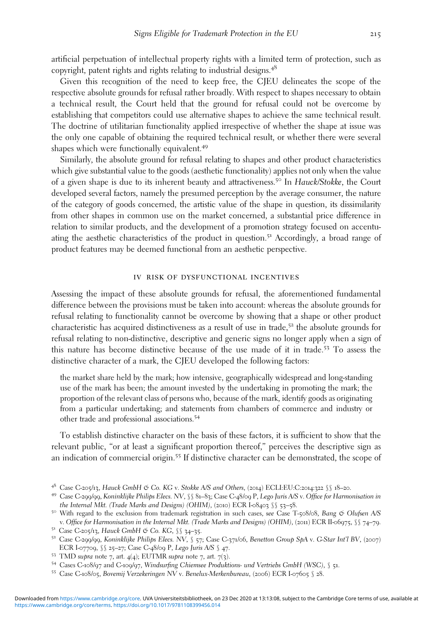artificial perpetuation of intellectual property rights with a limited term of protection, such as copyright, patent rights and rights relating to industrial designs.<sup>48</sup>

Given this recognition of the need to keep free, the CJEU delineates the scope of the respective absolute grounds for refusal rather broadly. With respect to shapes necessary to obtain a technical result, the Court held that the ground for refusal could not be overcome by establishing that competitors could use alternative shapes to achieve the same technical result. The doctrine of utilitarian functionality applied irrespective of whether the shape at issue was the only one capable of obtaining the required technical result, or whether there were several shapes which were functionally equivalent.<sup>49</sup>

Similarly, the absolute ground for refusal relating to shapes and other product characteristics which give substantial value to the goods (aesthetic functionality) applies not only when the value of a given shape is due to its inherent beauty and attractiveness.<sup>50</sup> In Hauck/Stokke, the Court developed several factors, namely the presumed perception by the average consumer, the nature of the category of goods concerned, the artistic value of the shape in question, its dissimilarity from other shapes in common use on the market concerned, a substantial price difference in relation to similar products, and the development of a promotion strategy focused on accentuating the aesthetic characteristics of the product in question.<sup>51</sup> Accordingly, a broad range of product features may be deemed functional from an aesthetic perspective.

### iv risk of dysfunctional incentives

Assessing the impact of these absolute grounds for refusal, the aforementioned fundamental difference between the provisions must be taken into account: whereas the absolute grounds for refusal relating to functionality cannot be overcome by showing that a shape or other product characteristic has acquired distinctiveness as a result of use in trade,<sup>52</sup> the absolute grounds for refusal relating to non-distinctive, descriptive and generic signs no longer apply when a sign of this nature has become distinctive because of the use made of it in trade.<sup>53</sup> To assess the distinctive character of a mark, the CJEU developed the following factors:

the market share held by the mark; how intensive, geographically widespread and long-standing use of the mark has been; the amount invested by the undertaking in promoting the mark; the proportion of the relevant class of persons who, because of the mark, identify goods as originating from a particular undertaking; and statements from chambers of commerce and industry or other trade and professional associations.<sup>54</sup>

To establish distinctive character on the basis of these factors, it is sufficient to show that the relevant public, "or at least a significant proportion thereof," perceives the descriptive sign as an indication of commercial origin.<sup>55</sup> If distinctive character can be demonstrated, the scope of

<sup>&</sup>lt;sup>48</sup> Case C-205/13, Hauck GmbH & Co. KG v. Stokke A/S and Others, (2014) ECLI:EU:C:2014:322 §§ 18–20.<br><sup>49</sup> Case C-299/99, Koninklijke Philips Elecs. NV, §§ 81–83; Case C-48/09 P, Lego Juris A/S v. Office for Harmonisation

the Internal Mkt. (Trade Marks and Designs) (OHIM), (2010) ECR I-08403  $\frac{6}{5}$  53–58.<br><sup>50</sup> With regard to the exclusion from trademark registration in such cases, see Case T-508/08, Bang & Olufsen A/S

v. Office for Harmonisation in the Internal Mkt. (Trade Marks and Designs) (OHIM), (2011) ECR II-06975,  $\int$  74-79.<br><sup>51</sup> Case C-205/13, Hauck GmbH & Co. KG,  $\int$  34-35.<br><sup>52</sup> Case C-299/99, Koninklijke Philips Elecs. NV,  $\$ 

ECR I-07709,  $\$   $25-27$ ; Case C-48/09 P, Lego Juris A/S  $\$  47.<br>
53 TMD supra note 7, art. 4(4); EUTMR supra note 7, art. 7(3).<br>
54 Cases C-108/97 and C-109/97, Windsurfing Chiemsee Produktions- und Vertriebs GmbH (WSC)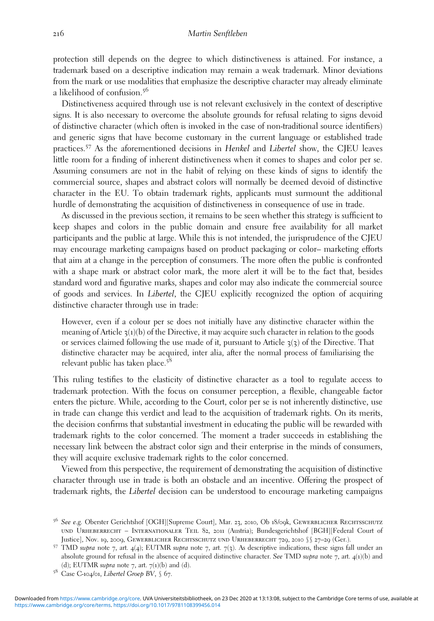protection still depends on the degree to which distinctiveness is attained. For instance, a trademark based on a descriptive indication may remain a weak trademark. Minor deviations from the mark or use modalities that emphasize the descriptive character may already eliminate a likelihood of confusion.<sup>56</sup>

Distinctiveness acquired through use is not relevant exclusively in the context of descriptive signs. It is also necessary to overcome the absolute grounds for refusal relating to signs devoid of distinctive character (which often is invoked in the case of non-traditional source identifiers) and generic signs that have become customary in the current language or established trade practices.<sup>57</sup> As the aforementioned decisions in Henkel and Libertel show, the CJEU leaves little room for a finding of inherent distinctiveness when it comes to shapes and color per se. Assuming consumers are not in the habit of relying on these kinds of signs to identify the commercial source, shapes and abstract colors will normally be deemed devoid of distinctive character in the EU. To obtain trademark rights, applicants must surmount the additional hurdle of demonstrating the acquisition of distinctiveness in consequence of use in trade.

As discussed in the previous section, it remains to be seen whether this strategy is sufficient to keep shapes and colors in the public domain and ensure free availability for all market participants and the public at large. While this is not intended, the jurisprudence of the CJEU may encourage marketing campaigns based on product packaging or color– marketing efforts that aim at a change in the perception of consumers. The more often the public is confronted with a shape mark or abstract color mark, the more alert it will be to the fact that, besides standard word and figurative marks, shapes and color may also indicate the commercial source of goods and services. In Libertel, the CJEU explicitly recognized the option of acquiring distinctive character through use in trade:

However, even if a colour per se does not initially have any distinctive character within the meaning of Article  $3(1)(b)$  of the Directive, it may acquire such character in relation to the goods or services claimed following the use made of it, pursuant to Article  $\mathfrak{z}(\mathfrak{z})$  of the Directive. That distinctive character may be acquired, inter alia, after the normal process of familiarising the relevant public has taken place.<sup>58</sup>

This ruling testifies to the elasticity of distinctive character as a tool to regulate access to trademark protection. With the focus on consumer perception, a flexible, changeable factor enters the picture. While, according to the Court, color per se is not inherently distinctive, use in trade can change this verdict and lead to the acquisition of trademark rights. On its merits, the decision confirms that substantial investment in educating the public will be rewarded with trademark rights to the color concerned. The moment a trader succeeds in establishing the necessary link between the abstract color sign and their enterprise in the minds of consumers, they will acquire exclusive trademark rights to the color concerned.

Viewed from this perspective, the requirement of demonstrating the acquisition of distinctive character through use in trade is both an obstacle and an incentive. Offering the prospect of trademark rights, the Libertel decision can be understood to encourage marketing campaigns

<sup>&</sup>lt;sup>56</sup> See e.g. Oberster Gerichtshof [OGH][Supreme Court], Mar. 23, 2010, Ob 18/09k, GEWERBLICHER RECHTSSCHUTZ UND URHEBERRECHT – INTERNATIONALER TEIL 82, 2011 (Austria); Bundesgerichtshof [BGH][Federal Court of Justice], Nov. 19, 2009, GEWERBLICHER RECHTSSCHUTZ UND URHEBERRECHT 729, 2010 \$\$ 27-29 (Ger.).

<sup>&</sup>lt;sup>57</sup> TMD supra note 7, art.  $4(4)$ ; EUTMR supra note 7, art. 7(3). As descriptive indications, these signs fall under an absolute ground for refusal in the absence of acquired distinctive character. See TMD supra note 7, art.  $4(1)(b)$  and (d); EUTMR supra note 7, art.  $7(1)(b)$  and (d).

<sup>58</sup> Case C-104/01, Libertel Groep BV, § 67.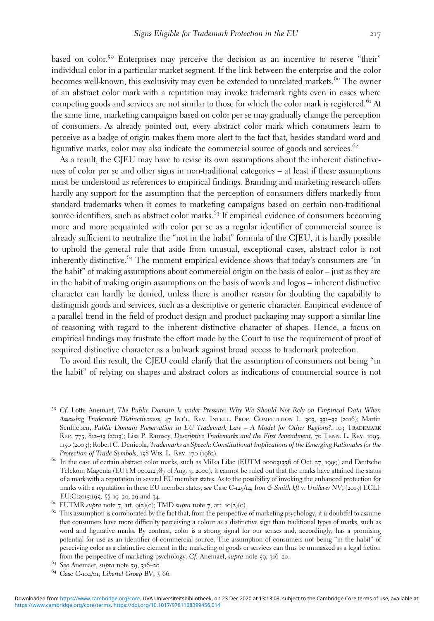based on color.<sup>59</sup> Enterprises may perceive the decision as an incentive to reserve "their" individual color in a particular market segment. If the link between the enterprise and the color becomes well-known, this exclusivity may even be extended to unrelated markets.<sup>60</sup> The owner of an abstract color mark with a reputation may invoke trademark rights even in cases where competing goods and services are not similar to those for which the color mark is registered.<sup>61</sup> At the same time, marketing campaigns based on color per se may gradually change the perception of consumers. As already pointed out, every abstract color mark which consumers learn to perceive as a badge of origin makes them more alert to the fact that, besides standard word and figurative marks, color may also indicate the commercial source of goods and services.<sup>62</sup>

As a result, the CJEU may have to revise its own assumptions about the inherent distinctiveness of color per se and other signs in non-traditional categories – at least if these assumptions must be understood as references to empirical findings. Branding and marketing research offers hardly any support for the assumption that the perception of consumers differs markedly from standard trademarks when it comes to marketing campaigns based on certain non-traditional source identifiers, such as abstract color marks.<sup>63</sup> If empirical evidence of consumers becoming more and more acquainted with color per se as a regular identifier of commercial source is already sufficient to neutralize the "not in the habit" formula of the CJEU, it is hardly possible to uphold the general rule that aside from unusual, exceptional cases, abstract color is not inherently distinctive.<sup>64</sup> The moment empirical evidence shows that today's consumers are "in the habit" of making assumptions about commercial origin on the basis of color – just as they are in the habit of making origin assumptions on the basis of words and logos – inherent distinctive character can hardly be denied, unless there is another reason for doubting the capability to distinguish goods and services, such as a descriptive or generic character. Empirical evidence of a parallel trend in the field of product design and product packaging may support a similar line of reasoning with regard to the inherent distinctive character of shapes. Hence, a focus on empirical findings may frustrate the effort made by the Court to use the requirement of proof of acquired distinctive character as a bulwark against broad access to trademark protection.

To avoid this result, the CJEU could clarify that the assumption of consumers not being "in the habit" of relying on shapes and abstract colors as indications of commercial source is not

<sup>59</sup> Cf. Lotte Anemaet, The Public Domain Is under Pressure: Why We Should Not Rely on Empirical Data When Assessing Trademark Distinctiveness, 47 Int'l. Rev. Intell. Prop. Competition L. 303, 331–32 (2016); Martin Senftleben, Public Domain Preservation in EU Trademark Law - A Model for Other Regions?, 103 TRADEMARK Rep. 775, 812–13 (2013); Lisa P. Ramsey, Descriptive Trademarks and the First Amendment, 70 Tenn. L. Rev. 1095, 1150 (2003); Robert C. Denicola, Trademarks as Speech: Constitutional Implications of the Emerging Rationales for the Protection of Trade Symbols, 158 Wis. L. Rev. 170 (1982).<br><sup>60</sup> In the case of certain abstract color marks, such as Milka Lilac (EUTM 000031336 of Oct. 27, 1999) and Deutsche

Telekom Magenta (EUTM 000212787 of Aug. 3, 2000), it cannot be ruled out that the marks have attained the status of a mark with a reputation in several EU member states. As to the possibility of invoking the enhanced protection for marks with a reputation in these EU member states, see Case C-125/14, Iron  $\Im$  Smith kft v. Unilever NV, (2015) ECLI: EU:C:2015:195,  $\int$  19–20, 29 and 34.<br><sup>61</sup> EUTMR *supra* note 7, art. 9(2)(c); TMD *supra* note 7, art. 10(2)(c).<br><sup>62</sup> This assumption is corroborated by the fact that, from the perspective of marketing psychology, it is

that consumers have more difficulty perceiving a colour as a distinctive sign than traditional types of marks, such as word and figurative marks. By contrast, color is a strong signal for our senses and, accordingly, has a promising potential for use as an identifier of commercial source. The assumption of consumers not being "in the habit" of perceiving color as a distinctive element in the marketing of goods or services can thus be unmasked as a legal fiction from the perspective of marketing psychology. Cf. Anemaet, supra note 59, 316–20.  $^{6}$ 3 See Anemaet, supra note 59, 316–20.  $^{6}$ 4 Case C-104/01, Libertel Groep BV, § 66.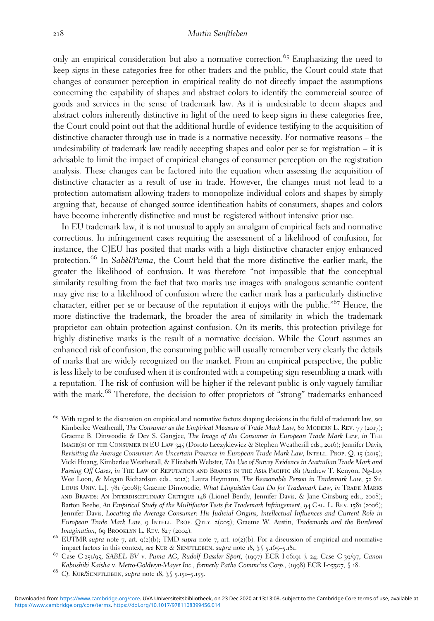only an empirical consideration but also a normative correction.<sup>65</sup> Emphasizing the need to keep signs in these categories free for other traders and the public, the Court could state that changes of consumer perception in empirical reality do not directly impact the assumptions concerning the capability of shapes and abstract colors to identify the commercial source of goods and services in the sense of trademark law. As it is undesirable to deem shapes and abstract colors inherently distinctive in light of the need to keep signs in these categories free, the Court could point out that the additional hurdle of evidence testifying to the acquisition of distinctive character through use in trade is a normative necessity. For normative reasons – the undesirability of trademark law readily accepting shapes and color per se for registration – it is advisable to limit the impact of empirical changes of consumer perception on the registration analysis. These changes can be factored into the equation when assessing the acquisition of distinctive character as a result of use in trade. However, the changes must not lead to a protection automatism allowing traders to monopolize individual colors and shapes by simply arguing that, because of changed source identification habits of consumers, shapes and colors have become inherently distinctive and must be registered without intensive prior use.

In EU trademark law, it is not unusual to apply an amalgam of empirical facts and normative corrections. In infringement cases requiring the assessment of a likelihood of confusion, for instance, the CJEU has posited that marks with a high distinctive character enjoy enhanced protection.<sup>66</sup> In *Sabèl/Puma*, the Court held that the more distinctive the earlier mark, the greater the likelihood of confusion. It was therefore "not impossible that the conceptual similarity resulting from the fact that two marks use images with analogous semantic content may give rise to a likelihood of confusion where the earlier mark has a particularly distinctive character, either per se or because of the reputation it enjoys with the public."<sup>67</sup> Hence, the more distinctive the trademark, the broader the area of similarity in which the trademark proprietor can obtain protection against confusion. On its merits, this protection privilege for highly distinctive marks is the result of a normative decision. While the Court assumes an enhanced risk of confusion, the consuming public will usually remember very clearly the details of marks that are widely recognized on the market. From an empirical perspective, the public is less likely to be confused when it is confronted with a competing sign resembling a mark with a reputation. The risk of confusion will be higher if the relevant public is only vaguely familiar with the mark.<sup>68</sup> Therefore, the decision to offer proprietors of "strong" trademarks enhanced

 $65$  With regard to the discussion on empirical and normative factors shaping decisions in the field of trademark law, see Kimberlee Weatherall, The Consumer as the Empirical Measure of Trade Mark Law, 80 MODERN L. REV. 77 (2017); Graeme B. Dinwoodie & Dev S. Gangjee, The Image of the Consumer in European Trade Mark Law, in The Image(s) of the Consumer in EU Law 345 (Doroto Leczykiewicz & Stephen Weatherill eds., 2016); Jennifer Davis, Revisiting the Average Consumer: An Uncertain Presence in European Trade Mark Law, INTELL. PROP. O. 15 (2015); Vicki Huang, Kimberlee Weatherall, & Elizabeth Webster, The Use of Survey Evidence in Australian Trade Mark and Passing Off Cases, in THE LAW OF REPUTATION AND BRANDS IN THE ASIA PACIFIC 181 (Andrew T. Kenyon, Ng-Loy Wee Loon, & Megan Richardson eds., 2012); Laura Heymann, The Reasonable Person in Trademark Law, 52 St. Louis Univ. L.J. 781 (2008); Graeme Dinwoodie, What Linguistics Can Do for Trademark Law, in TrADE MARKS and Brands: An Interdisciplinary Critique 148 (Lionel Bently, Jennifer Davis, & Jane Ginsburg eds., 2008); Barton Beebe, An Empirical Study of the Multifactor Tests for Trademark Infringement, 94 CAL. L. REV. 1581 (2006); Jennifer Davis, Locating the Average Consumer: His Judicial Origins, Intellectual Influences and Current Role in European Trade Mark Law, 9 INTELL. PROP. QTLY. 2(005); Graeme W. Austin, Trademarks and the Burdened

*Imagination*, 69 BROOKLYN L. REV. 827 (2004).<br>
<sup>66</sup> EUTMR *supra* note 7, art. 9(2)(b); TMD *supra* note 7, art. 10(2)(b). For a discussion of empirical and normative impact factors in this context, *see* KUR & SENFTLEBE

<sup>&</sup>lt;sup>67</sup> Case C-251/95, SABEL BV v. Puma AG, Rudolf Dassler Sport, (1997) ECR I-06191 § 24; Case C-39/97, Canon Kabushiki Kaisha v. Metro-Goldwyn-Mayer Inc., formerly Pathe Commc'ns Corp., (1998) ECR I-05507, § 18. 68 Cf. Kur/SenFTLEBEN, supra note 18, §§ 5.151–5.155.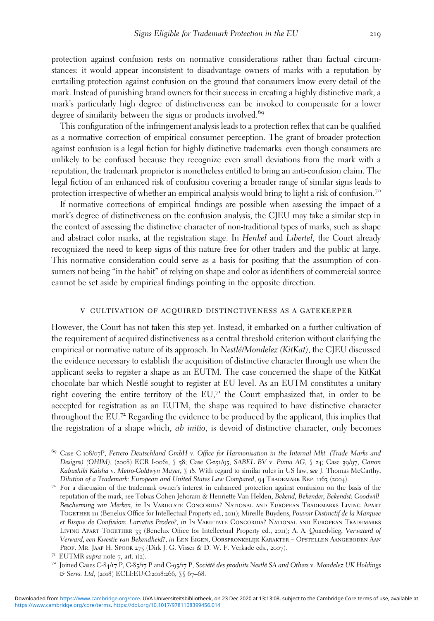protection against confusion rests on normative considerations rather than factual circumstances: it would appear inconsistent to disadvantage owners of marks with a reputation by curtailing protection against confusion on the ground that consumers know every detail of the mark. Instead of punishing brand owners for their success in creating a highly distinctive mark, a mark's particularly high degree of distinctiveness can be invoked to compensate for a lower degree of similarity between the signs or products involved.<sup>69</sup>

This configuration of the infringement analysis leads to a protection reflex that can be qualified as a normative correction of empirical consumer perception. The grant of broader protection against confusion is a legal fiction for highly distinctive trademarks: even though consumers are unlikely to be confused because they recognize even small deviations from the mark with a reputation, the trademark proprietor is nonetheless entitled to bring an anti-confusion claim. The legal fiction of an enhanced risk of confusion covering a broader range of similar signs leads to protection irrespective of whether an empirical analysis would bring to light a risk of confusion.<sup>70</sup>

If normative corrections of empirical findings are possible when assessing the impact of a mark's degree of distinctiveness on the confusion analysis, the CJEU may take a similar step in the context of assessing the distinctive character of non-traditional types of marks, such as shape and abstract color marks, at the registration stage. In Henkel and Libertel, the Court already recognized the need to keep signs of this nature free for other traders and the public at large. This normative consideration could serve as a basis for positing that the assumption of consumers not being "in the habit" of relying on shape and color as identifiers of commercial source cannot be set aside by empirical findings pointing in the opposite direction.

#### v cultivation of acquired distinctiveness as a gatekeeper

However, the Court has not taken this step yet. Instead, it embarked on a further cultivation of the requirement of acquired distinctiveness as a central threshold criterion without clarifying the empirical or normative nature of its approach. In Nestlé/Mondelez (KitKat), the CJEU discussed the evidence necessary to establish the acquisition of distinctive character through use when the applicant seeks to register a shape as an EUTM. The case concerned the shape of the KitKat chocolate bar which Nestlé sought to register at EU level. As an EUTM constitutes a unitary right covering the entire territory of the  $EU$ ,<sup> $\tau$ </sup> the Court emphasized that, in order to be accepted for registration as an EUTM, the shape was required to have distinctive character throughout the EU.<sup>72</sup> Regarding the evidence to be produced by the applicant, this implies that the registration of a shape which, *ab initio*, is devoid of distinctive character, only becomes

<sup>&</sup>lt;sup>69</sup> Case C-108/07P, Ferrero Deutschland GmbH v. Office for Harmonisation in the Internal Mkt. (Trade Marks and Designs) (OHIM), (2008) ECR I-0061, § 58; Case C-251/95, SABEL BV v. Puma AG, § 24; Case 39/97, Canon Kabushiki Kaisha v. Metro-Goldwyn Mayer, § 18. With regard to similar rules in US law, see J. Thomas McCarthy, Dilution of a Trademark: European and United States Law Compared, 94 TRADEMARK REP. 1163 (2004).<br><sup>70</sup> For a discussion of the trademark owner's interest in enhanced protection against confusion on the basis of the

reputation of the mark, see Tobias Cohen Jehoram & Henriette Van Helden, Bekend, Bekender, Bekendst: Goodwill-Bescherming van Merken, in In Varietate Concordia? National and European Trademarks Living Apart TOGETHER 111 (Benelux Office for Intellectual Property ed., 2011); Mireille Buydens, Pouvoir Distinctif de la Marquee et Risque de Confusion: Larvatus Prodeo?, in In Varietate Concordia? National and European Trademarks LIVING APART TOGETHER 33 (Benelux Office for Intellectual Property ed., 2011); A. A. Quaedvlieg, Verwaterd of Verward, een Kwestie van Bekendheid?, in EEN EIGEN, OORSPRONKELIJK KARAKTER – OPSTELLEN AANGEBODEN AAN<br>PROF. MR. JAAP H. SPOOR 275 (Dirk J. G. Visser & D. W. F. Verkade eds., 2007).

<sup>&</sup>lt;sup>71</sup> EUTMR supra note 7, art. 1(2).<br><sup>72</sup> Joined Cases C-84/17 P, C-85/17 P and C-95/17 P, Société des produits Nestlé SA and Others v. Mondelez UK Holdings & Servs. Ltd, (2018) ECLI:EU:C:2018:266, §§ 67–68.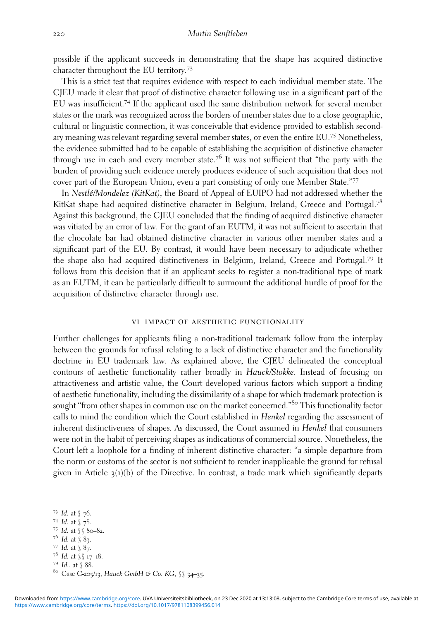possible if the applicant succeeds in demonstrating that the shape has acquired distinctive character throughout the EU territory.<sup>73</sup>

This is a strict test that requires evidence with respect to each individual member state. The CJEU made it clear that proof of distinctive character following use in a significant part of the EU was insufficient.<sup>74</sup> If the applicant used the same distribution network for several member states or the mark was recognized across the borders of member states due to a close geographic, cultural or linguistic connection, it was conceivable that evidence provided to establish secondary meaning was relevant regarding several member states, or even the entire EU.<sup>75</sup> Nonetheless, the evidence submitted had to be capable of establishing the acquisition of distinctive character through use in each and every member state.<sup>76</sup> It was not sufficient that "the party with the burden of providing such evidence merely produces evidence of such acquisition that does not cover part of the European Union, even a part consisting of only one Member State." 77

In Nestlé/Mondelez (KitKat), the Board of Appeal of EUIPO had not addressed whether the KitKat shape had acquired distinctive character in Belgium, Ireland, Greece and Portugal.<sup>78</sup> Against this background, the CJEU concluded that the finding of acquired distinctive character was vitiated by an error of law. For the grant of an EUTM, it was not sufficient to ascertain that the chocolate bar had obtained distinctive character in various other member states and a significant part of the EU. By contrast, it would have been necessary to adjudicate whether the shape also had acquired distinctiveness in Belgium, Ireland, Greece and Portugal.<sup>79</sup> It follows from this decision that if an applicant seeks to register a non-traditional type of mark as an EUTM, it can be particularly difficult to surmount the additional hurdle of proof for the acquisition of distinctive character through use.

## vi impact of aesthetic functionality

Further challenges for applicants filing a non-traditional trademark follow from the interplay between the grounds for refusal relating to a lack of distinctive character and the functionality doctrine in EU trademark law. As explained above, the CJEU delineated the conceptual contours of aesthetic functionality rather broadly in Hauck/Stokke. Instead of focusing on attractiveness and artistic value, the Court developed various factors which support a finding of aesthetic functionality, including the dissimilarity of a shape for which trademark protection is sought "from other shapes in common use on the market concerned."<sup>80</sup> This functionality factor calls to mind the condition which the Court established in Henkel regarding the assessment of inherent distinctiveness of shapes. As discussed, the Court assumed in Henkel that consumers were not in the habit of perceiving shapes as indications of commercial source. Nonetheless, the Court left a loophole for a finding of inherent distinctive character: "a simple departure from the norm or customs of the sector is not sufficient to render inapplicable the ground for refusal given in Article  $3(1)(b)$  of the Directive. In contrast, a trade mark which significantly departs

- 
- 
- 
- 

<sup>73</sup> Id. at  $\frac{8}{7}$  76.<br>
74 Id. at  $\frac{8}{3}$  80–82.<br>
76 Id. at  $\frac{8}{3}$ .<br>
77 Id. at  $\frac{8}{3}$ .<br>
78 Id. at  $\frac{8}{3}$ .<br>
79 Id.. at  $\frac{8}{3}$ .<br>
80 Case C-205/13, Hauck GmbH & Co. KG,  $\frac{8}{3}$  34–35.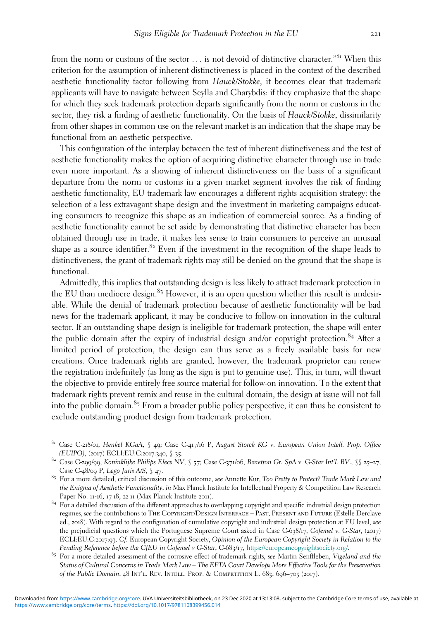from the norm or customs of the sector ... is not devoid of distinctive character."<sup>81</sup> When this criterion for the assumption of inherent distinctiveness is placed in the context of the described aesthetic functionality factor following from Hauck/Stokke, it becomes clear that trademark applicants will have to navigate between Scylla and Charybdis: if they emphasize that the shape for which they seek trademark protection departs significantly from the norm or customs in the sector, they risk a finding of aesthetic functionality. On the basis of Hauck/Stokke, dissimilarity from other shapes in common use on the relevant market is an indication that the shape may be functional from an aesthetic perspective.

This configuration of the interplay between the test of inherent distinctiveness and the test of aesthetic functionality makes the option of acquiring distinctive character through use in trade even more important. As a showing of inherent distinctiveness on the basis of a significant departure from the norm or customs in a given market segment involves the risk of finding aesthetic functionality, EU trademark law encourages a different rights acquisition strategy: the selection of a less extravagant shape design and the investment in marketing campaigns educating consumers to recognize this shape as an indication of commercial source. As a finding of aesthetic functionality cannot be set aside by demonstrating that distinctive character has been obtained through use in trade, it makes less sense to train consumers to perceive an unusual shape as a source identifier.<sup>82</sup> Even if the investment in the recognition of the shape leads to distinctiveness, the grant of trademark rights may still be denied on the ground that the shape is functional.

Admittedly, this implies that outstanding design is less likely to attract trademark protection in the EU than mediocre design. $83$  However, it is an open question whether this result is undesirable. While the denial of trademark protection because of aesthetic functionality will be bad news for the trademark applicant, it may be conducive to follow-on innovation in the cultural sector. If an outstanding shape design is ineligible for trademark protection, the shape will enter the public domain after the expiry of industrial design and/or copyright protection.<sup>84</sup> After a limited period of protection, the design can thus serve as a freely available basis for new creations. Once trademark rights are granted, however, the trademark proprietor can renew the registration indefinitely (as long as the sign is put to genuine use). This, in turn, will thwart the objective to provide entirely free source material for follow-on innovation. To the extent that trademark rights prevent remix and reuse in the cultural domain, the design at issue will not fall into the public domain.<sup>85</sup> From a broader public policy perspective, it can thus be consistent to exclude outstanding product design from trademark protection.

- 81 Case C-218/01, Henkel KGaA, § 49; Case C-417/16 P, August Storck KG v. European Union Intell. Prop. Office
- (EUIPO), (2017) ECLI:EU:C:2017:340, § 35.<br><sup>82</sup> Case C-299/99, Koninklijke Philips Elecs NV, § 57; Case C-371/06, Benetton Gr. SpA v. G-Star Int'l. BV., §§ 25–27;<br>Case C-48/09 P, Lego Juris A/S, § 47.
- <sup>83</sup> For a more detailed, critical discussion of this outcome, see Annette Kur, Too Pretty to Protect? Trade Mark Law and the Enigma of Aesthetic Functionality, in Max Planck Institute for Intellectual Property & Competition Law Research Paper No. 11-16, 17-18, 22-11 (Max Planck Institute 2011).
- <sup>84</sup> For a detailed discussion of the different approaches to overlapping copyright and specific industrial design protection regimes, see the contributions to THE COPYRIGHT/DESIGN INTERFACE - PAST, PRESENT AND FUTURE (Estelle Derclaye ed., 2018). With regard to the configuration of cumulative copyright and industrial design protection at EU level, see the prejudicial questions which the Portuguese Supreme Court asked in Case C-638/17, Cofemel v. G-Star, (2017) ECLI:EU:C:2017:93. Cf. European Copyright Society, Opinion of the European Copyright Society in Relation to the<br>Pending Reference before the CJEU in Cofemel v G-Star, C-683/17, https://europeancopyrightsociety.org/.
- <sup>85</sup> For a more detailed assessment of the corrosive effect of trademark rights, see Martin Senftleben, Vigeland and the Status of Cultural Concerns in Trade Mark Law – The EFTA Court Develops More Effective Tools for the Preservation of the Public Domain, 48 INT'L. REV. INTELL. PROP. & COMPETITION L. 683, 696-705 (2017).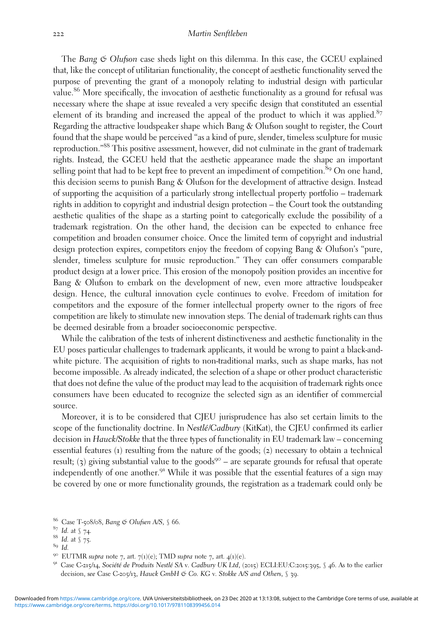The Bang  $\mathfrak G$  Olufson case sheds light on this dilemma. In this case, the GCEU explained that, like the concept of utilitarian functionality, the concept of aesthetic functionality served the purpose of preventing the grant of a monopoly relating to industrial design with particular value.<sup>86</sup> More specifically, the invocation of aesthetic functionality as a ground for refusal was necessary where the shape at issue revealed a very specific design that constituted an essential element of its branding and increased the appeal of the product to which it was applied.<sup>87</sup> Regarding the attractive loudspeaker shape which Bang & Olufson sought to register, the Court found that the shape would be perceived "as a kind of pure, slender, timeless sculpture for music reproduction." <sup>88</sup> This positive assessment, however, did not culminate in the grant of trademark rights. Instead, the GCEU held that the aesthetic appearance made the shape an important selling point that had to be kept free to prevent an impediment of competition.<sup>89</sup> On one hand, this decision seems to punish Bang & Olufson for the development of attractive design. Instead of supporting the acquisition of a particularly strong intellectual property portfolio – trademark rights in addition to copyright and industrial design protection – the Court took the outstanding aesthetic qualities of the shape as a starting point to categorically exclude the possibility of a trademark registration. On the other hand, the decision can be expected to enhance free competition and broaden consumer choice. Once the limited term of copyright and industrial design protection expires, competitors enjoy the freedom of copying Bang & Olufson's "pure, slender, timeless sculpture for music reproduction." They can offer consumers comparable product design at a lower price. This erosion of the monopoly position provides an incentive for Bang & Olufson to embark on the development of new, even more attractive loudspeaker design. Hence, the cultural innovation cycle continues to evolve. Freedom of imitation for competitors and the exposure of the former intellectual property owner to the rigors of free competition are likely to stimulate new innovation steps. The denial of trademark rights can thus be deemed desirable from a broader socioeconomic perspective.

While the calibration of the tests of inherent distinctiveness and aesthetic functionality in the EU poses particular challenges to trademark applicants, it would be wrong to paint a black-andwhite picture. The acquisition of rights to non-traditional marks, such as shape marks, has not become impossible. As already indicated, the selection of a shape or other product characteristic that does not define the value of the product may lead to the acquisition of trademark rights once consumers have been educated to recognize the selected sign as an identifier of commercial source.

Moreover, it is to be considered that CJEU jurisprudence has also set certain limits to the scope of the functionality doctrine. In Nestlé/Cadbury (KitKat), the CJEU confirmed its earlier decision in Hauck/Stokke that the three types of functionality in EU trademark law – concerning essential features (1) resulting from the nature of the goods; (2) necessary to obtain a technical result; (3) giving substantial value to the goods<sup>90</sup> – are separate grounds for refusal that operate independently of one another.<sup>91</sup> While it was possible that the essential features of a sign may be covered by one or more functionality grounds, the registration as a trademark could only be

<sup>&</sup>lt;sup>86</sup> Case T-508/08, *Bang* & *Olufsen A/S*, § 66.<br><sup>87</sup> Id. at § 74.<br><sup>88</sup> Id. at § 75.<br><sup>89</sup> Id.<br><sup>90</sup> EUTMR *supra* note 7, art. 7(1)(e); TMD *supra* note 7, art. 4(1)(e).<br><sup>91</sup> Case C-215/14, Société de Produits Nestlé SA v decision, see Case C-205/13, Hauck GmbH & Co. KG v. Stokke A/S and Others, § 39.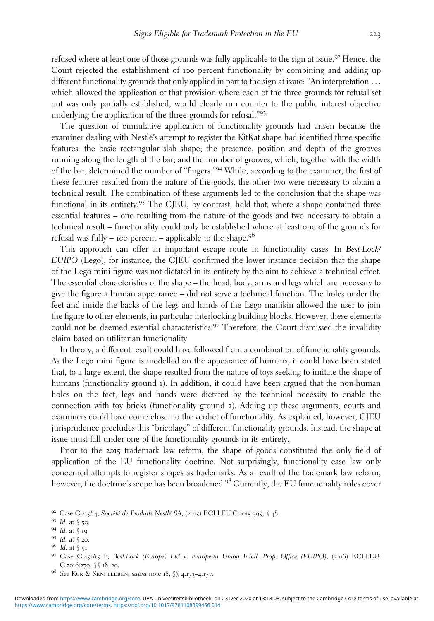refused where at least one of those grounds was fully applicable to the sign at issue.<sup>92</sup> Hence, the Court rejected the establishment of 100 percent functionality by combining and adding up different functionality grounds that only applied in part to the sign at issue: "An interpretation ... which allowed the application of that provision where each of the three grounds for refusal set out was only partially established, would clearly run counter to the public interest objective underlying the application of the three grounds for refusal." 93

The question of cumulative application of functionality grounds had arisen because the examiner dealing with Nestlé's attempt to register the KitKat shape had identified three specific features: the basic rectangular slab shape; the presence, position and depth of the grooves running along the length of the bar; and the number of grooves, which, together with the width of the bar, determined the number of "fingers." <sup>94</sup> While, according to the examiner, the first of these features resulted from the nature of the goods, the other two were necessary to obtain a technical result. The combination of these arguments led to the conclusion that the shape was functional in its entirety.<sup>95</sup> The CJEU, by contrast, held that, where a shape contained three essential features – one resulting from the nature of the goods and two necessary to obtain a technical result – functionality could only be established where at least one of the grounds for refusal was fully – 100 percent – applicable to the shape.<sup>96</sup>

This approach can offer an important escape route in functionality cases. In Best-Lock/ EUIPO (Lego), for instance, the CJEU confirmed the lower instance decision that the shape of the Lego mini figure was not dictated in its entirety by the aim to achieve a technical effect. The essential characteristics of the shape – the head, body, arms and legs which are necessary to give the figure a human appearance – did not serve a technical function. The holes under the feet and inside the backs of the legs and hands of the Lego manikin allowed the user to join the figure to other elements, in particular interlocking building blocks. However, these elements could not be deemed essential characteristics.<sup>97</sup> Therefore, the Court dismissed the invalidity claim based on utilitarian functionality.

In theory, a different result could have followed from a combination of functionality grounds. As the Lego mini figure is modelled on the appearance of humans, it could have been stated that, to a large extent, the shape resulted from the nature of toys seeking to imitate the shape of humans (functionality ground 1). In addition, it could have been argued that the non-human holes on the feet, legs and hands were dictated by the technical necessity to enable the connection with toy bricks (functionality ground 2). Adding up these arguments, courts and examiners could have come closer to the verdict of functionality. As explained, however, CJEU jurisprudence precludes this "bricolage" of different functionality grounds. Instead, the shape at issue must fall under one of the functionality grounds in its entirety.

Prior to the 2015 trademark law reform, the shape of goods constituted the only field of application of the EU functionality doctrine. Not surprisingly, functionality case law only concerned attempts to register shapes as trademarks. As a result of the trademark law reform, however, the doctrine's scope has been broadened.<sup>98</sup> Currently, the EU functionality rules cover

- <sup>92</sup> Case C-215/14, Société de Produits Nestlé SA, (2015) ECLI:EU:C:2015:395, § 48.<br><sup>93</sup> Id. at § 50.<br><sup>94</sup> Id. at § 19.<br><sup>95</sup> Id. at § 20.<br><sup>96</sup> Id. at § 51.<br><sup>96</sup> Id. at § 51.<br><sup>97</sup> Case C-452/15 P, *Best-Lock (Europe) Ltd* C:2016:270, *§§* 18–20.<br><sup>98</sup> See Kur & Senftleben, supra note 18, *§§* 4.173–4.177.
-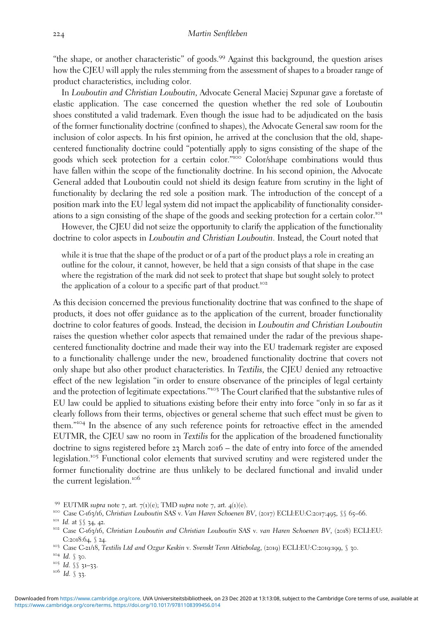"the shape, or another characteristic" of goods.<sup>99</sup> Against this background, the question arises how the CJEU will apply the rules stemming from the assessment of shapes to a broader range of product characteristics, including color.

In Louboutin and Christian Louboutin, Advocate General Maciej Szpunar gave a foretaste of elastic application. The case concerned the question whether the red sole of Louboutin shoes constituted a valid trademark. Even though the issue had to be adjudicated on the basis of the former functionality doctrine (confined to shapes), the Advocate General saw room for the inclusion of color aspects. In his first opinion, he arrived at the conclusion that the old, shapecentered functionality doctrine could "potentially apply to signs consisting of the shape of the goods which seek protection for a certain color." <sup>100</sup> Color/shape combinations would thus have fallen within the scope of the functionality doctrine. In his second opinion, the Advocate General added that Louboutin could not shield its design feature from scrutiny in the light of functionality by declaring the red sole a position mark. The introduction of the concept of a position mark into the EU legal system did not impact the applicability of functionality considerations to a sign consisting of the shape of the goods and seeking protection for a certain color.<sup>101</sup>

However, the CJEU did not seize the opportunity to clarify the application of the functionality doctrine to color aspects in Louboutin and Christian Louboutin. Instead, the Court noted that

while it is true that the shape of the product or of a part of the product plays a role in creating an outline for the colour, it cannot, however, be held that a sign consists of that shape in the case where the registration of the mark did not seek to protect that shape but sought solely to protect the application of a colour to a specific part of that product.<sup>102</sup>

As this decision concerned the previous functionality doctrine that was confined to the shape of products, it does not offer guidance as to the application of the current, broader functionality doctrine to color features of goods. Instead, the decision in Louboutin and Christian Louboutin raises the question whether color aspects that remained under the radar of the previous shapecentered functionality doctrine and made their way into the EU trademark register are exposed to a functionality challenge under the new, broadened functionality doctrine that covers not only shape but also other product characteristics. In Textilis, the CJEU denied any retroactive effect of the new legislation "in order to ensure observance of the principles of legal certainty and the protection of legitimate expectations."<sup>103</sup> The Court clarified that the substantive rules of EU law could be applied to situations existing before their entry into force "only in so far as it clearly follows from their terms, objectives or general scheme that such effect must be given to them." <sup>104</sup> In the absence of any such reference points for retroactive effect in the amended EUTMR, the CJEU saw no room in Textilis for the application of the broadened functionality doctrine to signs registered before 23 March 2016 – the date of entry into force of the amended legislation.<sup>105</sup> Functional color elements that survived scrutiny and were registered under the former functionality doctrine are thus unlikely to be declared functional and invalid under the current legislation.<sup>106</sup>

- 
- 

<sup>&</sup>lt;sup>99</sup> EUTMR supra note 7, art. 7(1)(e); TMD supra note 7, art. 4(1)(e).<br><sup>100</sup> Case C-163/16, *Christian Louboutin SAS v. Van Haren Schoenen BV*, (2017) ECLI:EU:C:2017:495, *\$\$* 65–66.<br><sup>101</sup> Id. at *\$\$* 34, 42.<br><sup>102</sup> Case C

C:2018:64, § 24.<br><sup>103</sup> Case C-21/18, *Textilis Ltd and Ozgur Keskin v. Svenskt Tenn Aktiebolag*, (2019) ECLI:EU:C:2019:199, § 30.<br><sup>104</sup> Id. §§ 31–33.<br><sup>105</sup> Id. §§ 31–33.